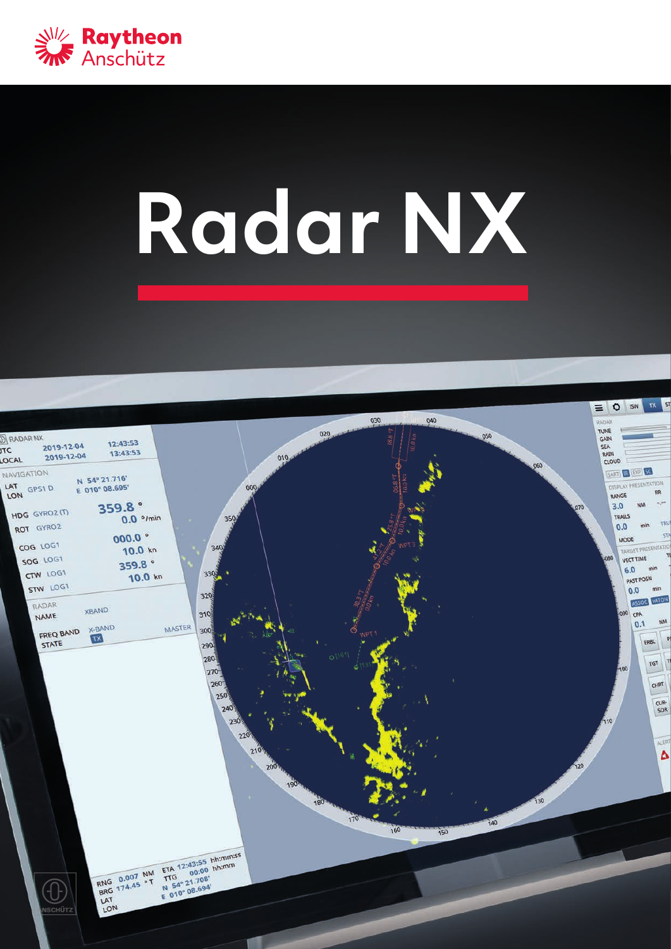

# **Radar NX**

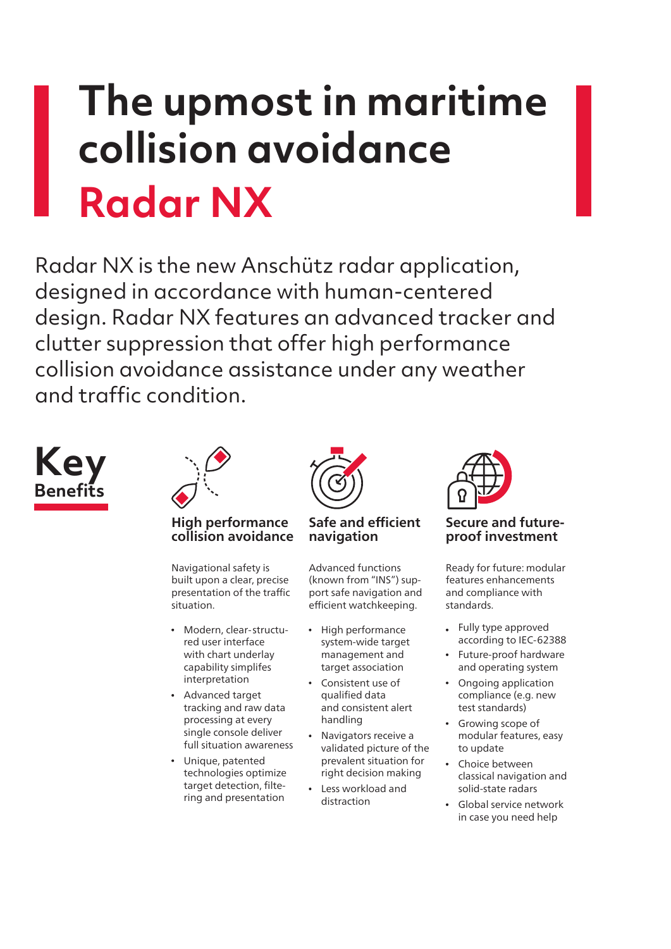## **The upmost in maritime collision avoidance Radar NX**

Radar NX is the new Anschütz radar application, designed in accordance with human-centered design. Radar NX features an advanced tracker and clutter suppression that offer high performance collision avoidance assistance under any weather and traffic condition.





**High performance collision avoidance**

Navigational safety is built upon a clear, precise presentation of the traffic situation.

- Modern, clear-structured user interface with chart underlay capability simplifes interpretation
- Advanced target tracking and raw data processing at every single console deliver full situation awareness
- Unique, patented technologies optimize target detection, filtering and presentation



**Safe and efficient navigation**

Advanced functions (known from "INS") support safe navigation and efficient watchkeeping.

- High performance system-wide target management and target association
- Consistent use of qualified data and consistent alert handling
- Navigators receive a validated picture of the prevalent situation for right decision making
- Less workload and distraction



**Secure and futureproof investment**

Ready for future: modular features enhancements and compliance with standards.

- Fully type approved according to IEC-62388
- Future-proof hardware and operating system
- Ongoing application compliance (e.g. new test standards)
- Growing scope of modular features, easy to update
- Choice between classical navigation and solid-state radars
- Global service network in case you need help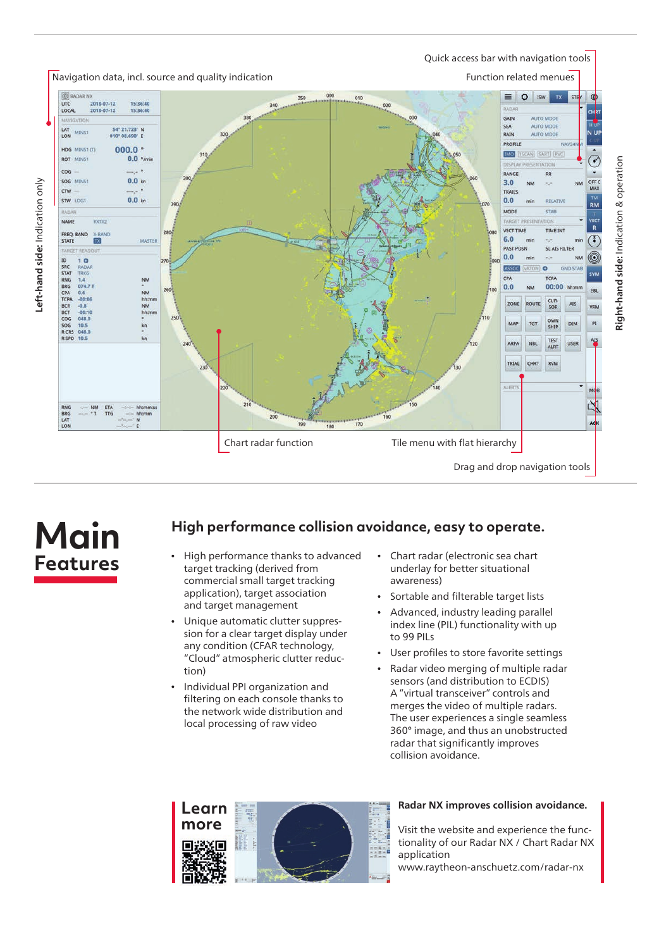

### **Main Features**

#### **High performance collision avoidance, easy to operate.**

- High performance thanks to advanced target tracking (derived from commercial small target tracking application), target association and target management
- Unique automatic clutter suppression for a clear target display under any condition (CFAR technology, "Cloud" atmospheric clutter reduction)
- Individual PPI organization and filtering on each console thanks to the network wide distribution and local processing of raw video
- Chart radar (electronic sea chart  $\bullet$ underlay for better situational awareness)
- Sortable and filterable target lists
- Advanced, industry leading parallel index line (PIL) functionality with up to 99 PILs
- User profiles to store favorite settings
- Radar video merging of multiple radar sensors (and distribution to ECDIS) A "virtual transceiver" controls and merges the video of multiple radars. The user experiences a single seamless 360° image, and thus an unobstructed radar that significantly improves collision avoidance.



#### **Radar NX improves collision avoidance.**

Visit the website and experience the functionality of our Radar NX / Chart Radar NX application

www.raytheon-anschuetz.com/radar-nx